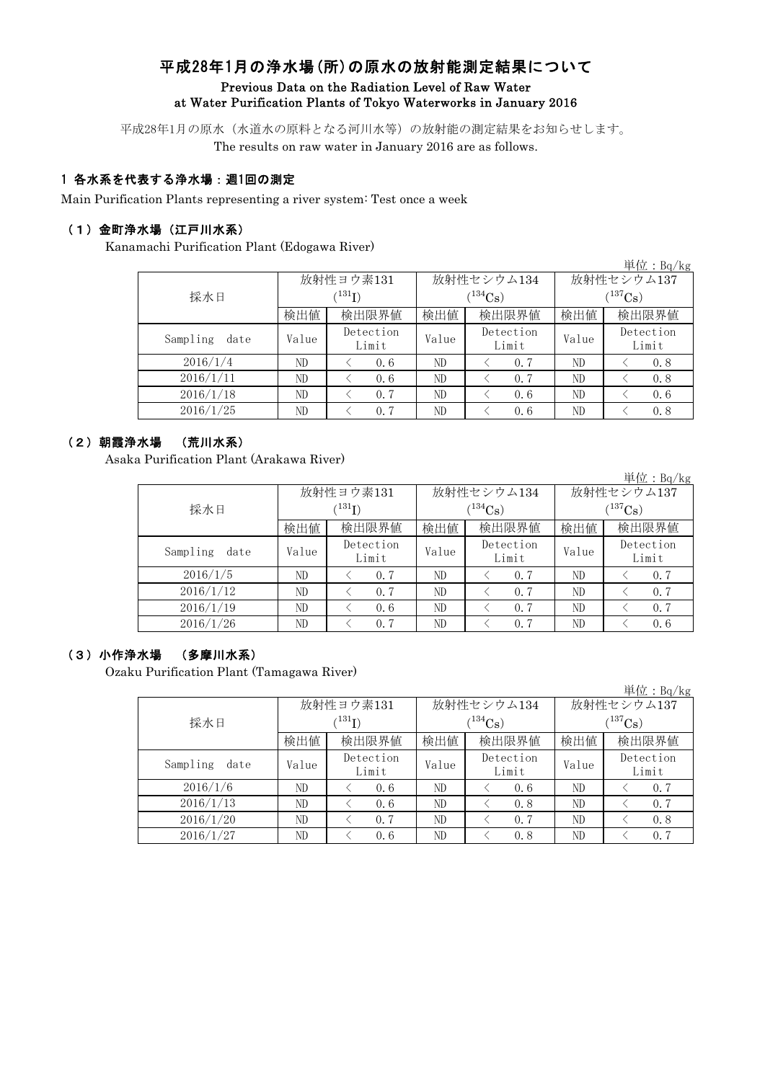# 平成28年1月の浄水場(所)の原水の放射能測定結果について Previous Data on the Radiation Level of Raw Water at Water Purification Plants of Tokyo Waterworks in January 2016

平成28年1月の原水(水道水の原料となる河川水等)の放射能の測定結果をお知らせします。

The results on raw water in January 2016 are as follows.

### 1 各水系を代表する浄水場:週1回の測定

Main Purification Plants representing a river system: Test once a week

#### (1)金町浄水場(江戸川水系)

Kanamachi Purification Plant (Edogawa River)

|                  |       |                            |       |                    |              | 単位: $Bq/kg$        |  |
|------------------|-------|----------------------------|-------|--------------------|--------------|--------------------|--|
|                  |       | 放射性ヨウ素131                  |       | 放射性セシウム134         | 放射性セシウム137   |                    |  |
| 採水日              |       | $^{\prime131} \mathrm{I})$ |       | $(134)$ Cs         | $(^{137}Cs)$ |                    |  |
|                  | 検出値   | 検出限界値                      | 検出値   | 検出限界値              | 検出値          | 検出限界値              |  |
| Sampling<br>date | Value | Detection<br>Limit         | Value | Detection<br>Limit | Value        | Detection<br>Limit |  |
| 2016/1/4         | ND    | 0.6                        | ND    | 0.7                | ND           | 0.8                |  |
| 2016/1/11        | ND    | 0.6                        | ND    | 0.7                | ND           | 0.8                |  |
| 2016/1/18        | ND    | 0.7                        | ND    | 0.6                | ND           | 0.6                |  |
| 2016/1/25        | ND    | 0.7                        | ND    | 0.6                | ND           | 0.8                |  |

#### (2)朝霞浄水場 (荒川水系)

Asaka Purification Plant (Arakawa River)

|                  |       |                            |       |                    |            | 単位: $Bq/kg$        |  |  |
|------------------|-------|----------------------------|-------|--------------------|------------|--------------------|--|--|
|                  |       | 放射性ヨウ素131                  |       | 放射性セシウム134         | 放射性セシウム137 |                    |  |  |
| 採水日              |       | $^{\prime131} \mathrm{I})$ |       | $134C_8$ )         | $137C_8$ ) |                    |  |  |
|                  | 検出値   | 検出限界値                      | 検出値   | 検出限界値              | 検出値        | 検出限界値              |  |  |
| Sampling<br>date | Value | Detection<br>Limit         | Value | Detection<br>Limit | Value      | Detection<br>Limit |  |  |
| 2016/1/5         | ND    | 0.7                        | ND    | 0.7                | ND         | 0.7                |  |  |
| 2016/1/12        | ND    | 0.7                        | ND    | 0.7                | ND         | 0.7                |  |  |
| 2016/1/19        | ND    | 0.6                        | ND    | 0.7                | ND         | 0.7                |  |  |
| 2016/1/26        | ND    | 0.7                        | ND    | 0.7                | ND         | 0.6                |  |  |

### (3)小作浄水場 (多摩川水系)

Ozaku Purification Plant (Tamagawa River)

|                  |       |                            |            |                    |            | 単位: $Bq/kg$        |  |  |
|------------------|-------|----------------------------|------------|--------------------|------------|--------------------|--|--|
|                  |       | 放射性ヨウ素131                  |            | 放射性セシウム134         | 放射性セシウム137 |                    |  |  |
| 採水日              |       | $^{\prime131} \mathrm{I})$ | $(134)$ Cs |                    |            | $(^{137}Cs)$       |  |  |
|                  | 検出値   | 検出限界値                      | 検出値        | 検出限界値              | 検出値        | 検出限界値              |  |  |
| Sampling<br>date | Value | Detection<br>Limit         | Value      | Detection<br>Limit | Value      | Detection<br>Limit |  |  |
| 2016/1/6         | ND    | 0.6                        | ND         | 0.6                | ND         | 0.7                |  |  |
| 2016/1/13        | ND    | 0.6                        | ND         | 0.8                | ND         | 0.7                |  |  |
| 2016/1/20        | ND    | 0.7                        | ND         | 0.7                | ND         | 0.8                |  |  |
| 2016/1/27        | ND    | 0.6                        | ND         | 0.8                | ND         | 0.7                |  |  |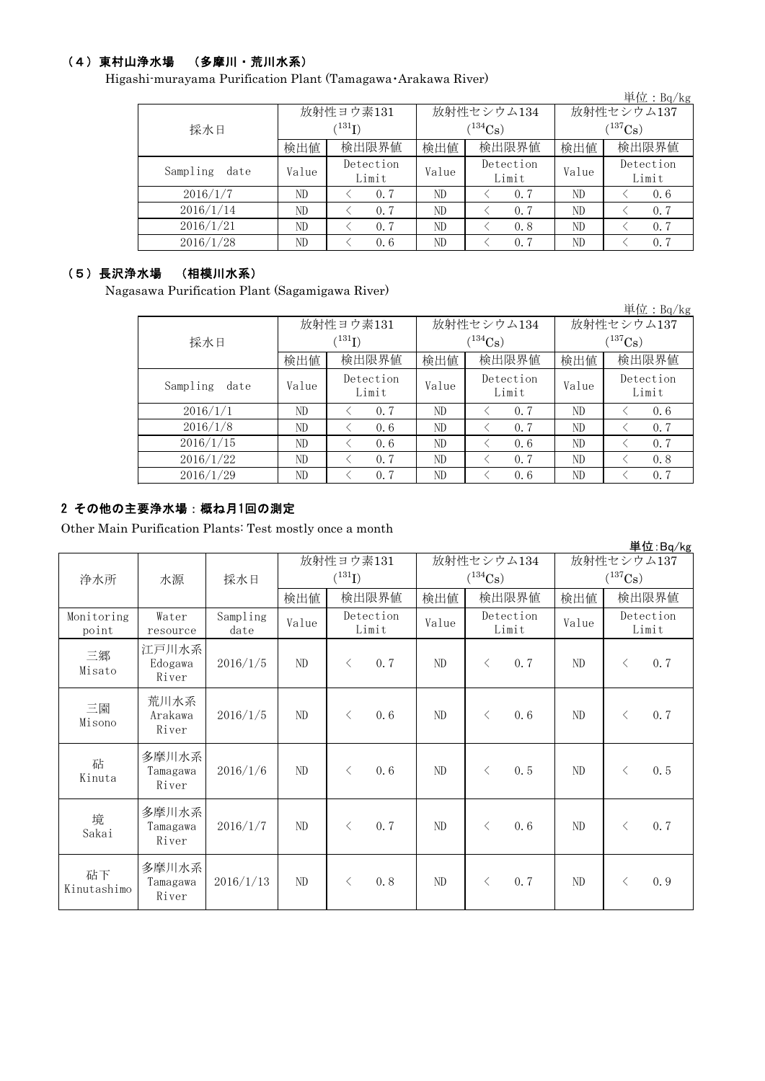## (4)東村山浄水場 (多摩川・荒川水系)

Higashi-murayama Purification Plant (Tamagawa・Arakawa River)

|                  |       |                      |       |                    |              | 単位: Bq/kg          |  |  |
|------------------|-------|----------------------|-------|--------------------|--------------|--------------------|--|--|
|                  |       | 放射性ヨウ素131            |       | 放射性セシウム134         | 放射性セシウム137   |                    |  |  |
| 採水日              |       | $(^{131}\mathrm{I})$ |       | $(^{134}Cs)$       | $(^{137}Cs)$ |                    |  |  |
|                  | 検出値   | 検出限界値                | 検出値   | 検出限界値              | 検出値          | 検出限界値              |  |  |
| Sampling<br>date | Value | Detection<br>Limit   | Value | Detection<br>Limit | Value        | Detection<br>Limit |  |  |
| 2016/1/7         | ND    | 0.7                  | ND    | 0.7                | ND           | 0.6                |  |  |
| 2016/1/14        | ND    | 0.7                  | ND    | 0.7                | ND           | 0.7                |  |  |
| 2016/1/21        | ND    | 0.7                  | ND    | 0.8                | ND           | 0.7                |  |  |
| 2016/1/28        | ND    | 0.6                  | ND    | 0.7                | ND           | 0.7                |  |  |
|                  |       |                      |       |                    |              |                    |  |  |

#### (5)長沢浄水場 (相模川水系)

Nagasawa Purification Plant (Sagamigawa River)

|                  |       |                            |       |                    |              | 単位: $Bq/kg$        |  |
|------------------|-------|----------------------------|-------|--------------------|--------------|--------------------|--|
|                  |       | 放射性ヨウ素131                  |       | 放射性セシウム134         | 放射性セシウム137   |                    |  |
| 採水日              |       | $^{\prime131} \mathrm{I})$ |       | $(134)$ Cs         | $(^{137}Cs)$ |                    |  |
|                  | 検出値   | 検出限界値                      | 検出値   | 検出限界値              | 検出値          | 検出限界値              |  |
| Sampling<br>date | Value | Detection<br>Limit         | Value | Detection<br>Limit | Value        | Detection<br>Limit |  |
| 2016/1/1         | ND    | 0, 7                       | ND    | 0.7                | ND           | 0.6                |  |
| 2016/1/8         | ND    | 0.6                        | ND    | 0.7                | ND           | 0.7                |  |
| 2016/1/15        | ND    | 0, 6                       | ND    | 0.6                | ND           | 0.7                |  |
| 2016/1/22        | ND    | 0.7                        | ND    | 0.7                | ND           | 0.8                |  |
| 2016/1/29        | ND    | 0.7                        | ND    | 0.6                | ND           | 0.7                |  |

### 2 その他の主要浄水場:概ね月1回の測定

Other Main Purification Plants: Test mostly once a month

|                     |                            |                  |                          |           |                            |                             |           |                            |          |                    | 単位:Bq/kg |
|---------------------|----------------------------|------------------|--------------------------|-----------|----------------------------|-----------------------------|-----------|----------------------------|----------|--------------------|----------|
| 浄水所                 | 水源                         | 採水日              | 放射性ヨウ素131<br>$(^{131}I)$ |           | 放射性セシウム134<br>$(^{134}Cs)$ |                             |           | 放射性セシウム137<br>$(^{137}Cs)$ |          |                    |          |
|                     |                            |                  | 検出値                      |           | 検出限界値                      | 検出値                         |           | 検出限界値                      | 検出値      |                    | 検出限界値    |
| Monitoring<br>point | Water<br>resource          | Sampling<br>date | Value                    |           | Detection<br>Limit         | Detection<br>Value<br>Limit |           | Value                      |          | Detection<br>Limit |          |
| 三郷<br>Misato        | 江戸川水系<br>Edogawa<br>River  | 2016/1/5         | ND                       | $\langle$ | 0.7                        | ND                          | $\langle$ | 0.7                        | $\rm ND$ | $\langle$          | 0.7      |
| 三園<br>Misono        | 荒川水系<br>Arakawa<br>River   | 2016/1/5         | ND                       | $\lt$     | 0.6                        | ND                          | $\langle$ | 0.6                        | ND       | $\langle$          | 0.7      |
| 砧<br>Kinuta         | 多摩川水系<br>Tamagawa<br>River | 2016/1/6         | ND                       | $\lt$     | 0.6                        | ND                          | $\langle$ | 0.5                        | ND       | $\langle$          | 0.5      |
| 境<br>Sakai          | 多摩川水系<br>Tamagawa<br>River | 2016/1/7         | ND                       | $\lt$     | 0.7                        | ND                          | $\langle$ | 0.6                        | ND       | $\langle$          | 0.7      |
| 砧下<br>Kinutashimo   | 多摩川水系<br>Tamagawa<br>River | 2016/1/13        | ND                       | $\langle$ | 0.8                        | ND                          | $\langle$ | 0.7                        | $\rm ND$ | $\langle$          | 0.9      |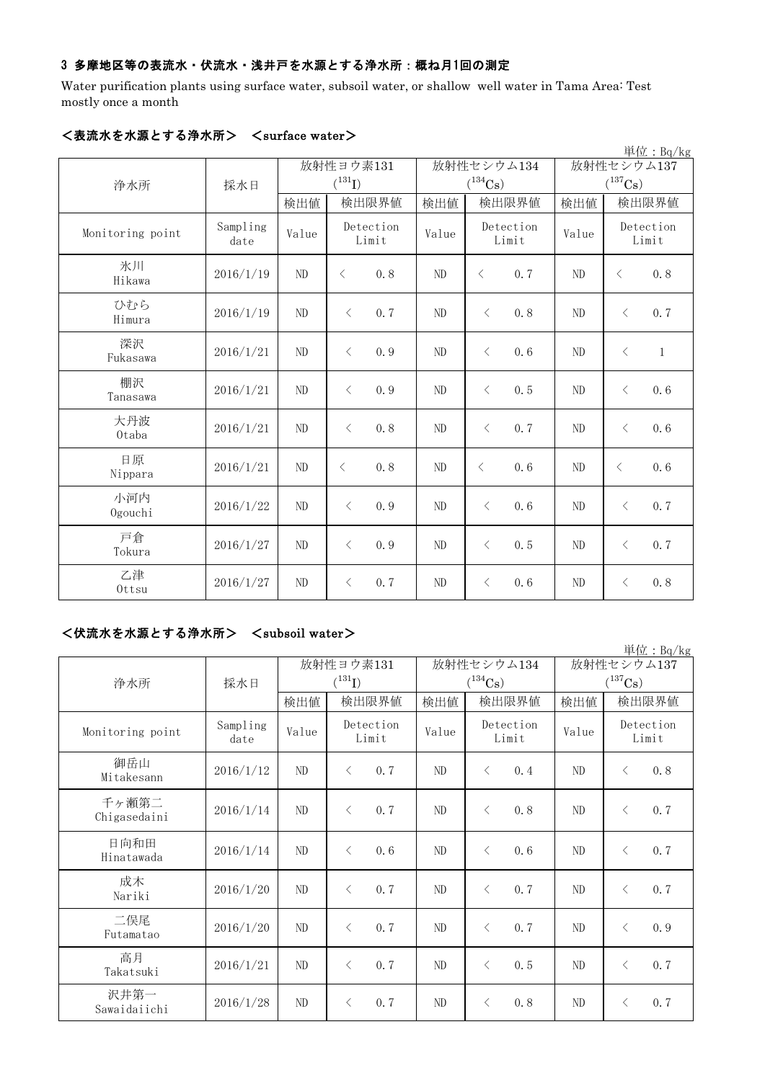## 3 多摩地区等の表流水・伏流水・浅井戸を水源とする浄水所:概ね月1回の測定

Water purification plants using surface water, subsoil water, or shallow well water in Tama Area: Test mostly once a month

|                  |                  |                |                    |       |                |                       |                    |                       |            | 単位: Bq/kg          |
|------------------|------------------|----------------|--------------------|-------|----------------|-----------------------|--------------------|-----------------------|------------|--------------------|
|                  |                  |                | 放射性ヨウ素131          |       |                | 放射性セシウム134            |                    |                       | 放射性セシウム137 |                    |
| 浄水所              | 採水日              |                | $(^{131}I)$        |       |                | $(^{134}\mathrm{Cs})$ |                    | $(^{137}\mathrm{Cs})$ |            |                    |
|                  |                  | 検出値            |                    | 検出限界値 | 検出値            |                       | 検出限界値              | 検出値                   |            | 検出限界値              |
| Monitoring point | Sampling<br>date | Value          | Detection<br>Limit |       | Value          |                       | Detection<br>Limit |                       |            | Detection<br>Limit |
| 氷川<br>Hikawa     | 2016/1/19        | ND             | $\langle$          | 0.8   | N <sub>D</sub> | $\lt$                 | 0.7                | ND                    | $\langle$  | 0.8                |
| ひむら<br>Himura    | 2016/1/19        | ND             | $\langle$          | 0.7   | ND             | $\lt$                 | 0.8                | ND                    | $\langle$  | 0.7                |
| 深沢<br>Fukasawa   | 2016/1/21        | N <sub>D</sub> | $\langle$          | 0.9   | N <sub>D</sub> | $\langle$             | 0.6                | N <sub>D</sub>        | $\langle$  | $\mathbf{1}$       |
| 棚沢<br>Tanasawa   | 2016/1/21        | ND             | $\langle$          | 0.9   | ND             | $\langle$             | 0.5                | ND                    | $\langle$  | 0.6                |
| 大丹波<br>0taba     | 2016/1/21        | N <sub>D</sub> | $\lt$              | 0.8   | N <sub>D</sub> | $\langle$             | 0.7                | N <sub>D</sub>        | $\langle$  | 0.6                |
| 日原<br>Nippara    | 2016/1/21        | ND             | $\langle$          | 0.8   | ND             | $\lt$                 | 0.6                | ND                    | $\lt$      | 0.6                |
| 小河内<br>Ogouchi   | 2016/1/22        | ND             | $\langle$          | 0.9   | ND             | $\langle$             | 0.6                | ND                    | $\langle$  | 0.7                |
| 戸倉<br>Tokura     | 2016/1/27        | ND             | $\langle$          | 0.9   | ND             | $\lt$                 | 0.5                | ND                    | $\langle$  | 0.7                |
| 乙津<br>Ottsu      | 2016/1/27        | ND             | $\lt$              | 0.7   | ND             | $\langle$             | 0, 6               | ND                    | $\lt$      | 0.8                |

# <表流水を水源とする浄水所> <surface water>

### <伏流水を水源とする浄水所> <subsoil water>

|                       |                  |       |                    |       |                       |                       | 単位: Bq/kg          |  |
|-----------------------|------------------|-------|--------------------|-------|-----------------------|-----------------------|--------------------|--|
|                       |                  |       | 放射性ヨウ素131          |       | 放射性セシウム134            | 放射性セシウム137            |                    |  |
| 浄水所                   | 採水日              |       | $(^{131}I)$        |       | $(^{134}\mathrm{Cs})$ | $(^{137}\mathrm{Cs})$ |                    |  |
|                       |                  | 検出値   | 検出限界値              | 検出値   | 検出限界値                 | 検出値                   | 検出限界値              |  |
| Monitoring point      | Sampling<br>date | Value | Detection<br>Limit | Value | Detection<br>Limit    | Value                 | Detection<br>Limit |  |
| 御岳山<br>Mitakesann     | 2016/1/12        | ND    | 0.7<br>$\langle$   | ND    | 0.4<br>$\langle$      | ND                    | 0.8<br>$\langle$   |  |
| 千ヶ瀬第二<br>Chigasedaini | 2016/1/14        | ND    | $\langle$<br>0.7   | ND    | $\langle$<br>0.8      | ND                    | 0.7<br>$\langle$   |  |
| 日向和田<br>Hinatawada    | 2016/1/14        | ND    | $\langle$<br>0, 6  | ND    | $\langle$<br>0, 6     | ND                    | 0.7<br>$\lt$       |  |
| 成木<br>Nariki          | 2016/1/20        | ND    | 0.7<br>$\langle$   | ND    | 0.7<br>$\langle$      | ND                    | 0.7<br>$\langle$   |  |
| 二俣尾<br>Futamatao      | 2016/1/20        | ND    | $\langle$<br>0.7   | ND    | $\langle$<br>0, 7     | ND                    | 0.9<br>$\langle$   |  |
| 高月<br>Takatsuki       | 2016/1/21        | ND    | 0, 7<br>$\lt$      | ND    | 0.5<br>$\langle$      | ND                    | 0.7<br>$\lt$       |  |
| 沢井第一<br>Sawaidaiichi  | 2016/1/28        | ND    | 0.7<br>$\lt$       | ND    | 0.8<br>$\lt$          | ND                    | 0.7<br>$\langle$   |  |